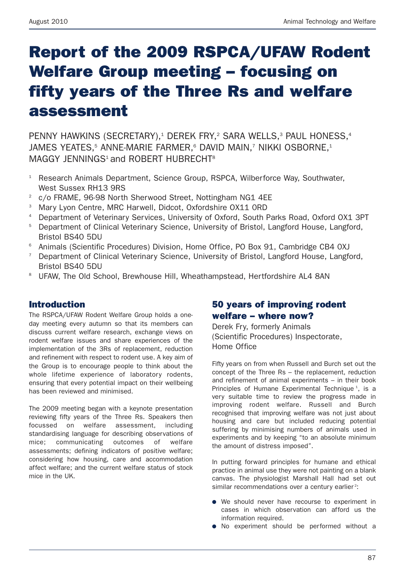# **Report of the 2009 RSPCA/UFAW Rodent Welfare Group meeting – focusing on fifty years of the Three Rs and welfare assessment**

PENNY HAWKINS (SECRETARY),<sup>1</sup> DEREK FRY,<sup>2</sup> SARA WELLS,<sup>3</sup> PAUL HONESS,<sup>4</sup> JAMES YEATES.<sup>5</sup> ANNE-MARIE FARMER.<sup>6</sup> DAVID MAIN.<sup>7</sup> NIKKI OSBORNE.<sup>1</sup> MAGGY JFNNINGS<sup>1</sup> and ROBERT HUBRECHT<sup>8</sup>

- <sup>1</sup> Research Animals Department, Science Group, RSPCA, Wilberforce Way, Southwater, West Sussex RH13 9RS
- <sup>2</sup> c/o FRAME, 96-98 North Sherwood Street, Nottingham NG1 4EE
- <sup>3</sup> Mary Lyon Centre, MRC Harwell, Didcot, Oxfordshire OX11 ORD
- <sup>4</sup> Department of Veterinary Services, University of Oxford, South Parks Road, Oxford OX1 3PT
- <sup>5</sup> Department of Clinical Veterinary Science, University of Bristol, Langford House, Langford, Bristol BS40 5DU
- <sup>6</sup> Animals (Scientific Procedures) Division, Home Office, PO Box 91, Cambridge CB4 0XJ
- <sup>7</sup> Department of Clinical Veterinary Science, University of Bristol, Langford House, Langford, Bristol BS40 5DU
- <sup>8</sup> UFAW, The Old School, Brewhouse Hill, Wheathampstead, Hertfordshire AL4 8AN

## **Introduction**

The RSPCA/UFAW Rodent Welfare Group holds a oneday meeting every autumn so that its members can discuss current welfare research, exchange views on rodent welfare issues and share experiences of the implementation of the 3Rs of replacement, reduction and refinement with respect to rodent use. A key aim of the Group is to encourage people to think about the whole lifetime experience of laboratory rodents, ensuring that every potential impact on their wellbeing has been reviewed and minimised.

The 2009 meeting began with a keynote presentation reviewing fifty years of the Three Rs. Speakers then focussed on welfare assessment, including standardising language for describing observations of mice; communicating outcomes of welfare assessments; defining indicators of positive welfare; considering how housing, care and accommodation affect welfare; and the current welfare status of stock mice in the UK.

## **50 years of improving rodent welfare – where now?**

Derek Fry, formerly Animals (Scientific Procedures) Inspectorate, Home Office

Fifty years on from when Russell and Burch set out the concept of the Three Rs – the replacement, reduction and refinement of animal experiments – in their book Principles of Humane Experimental Technique<sup>1</sup>, is a very suitable time to review the progress made in improving rodent welfare. Russell and Burch recognised that improving welfare was not just about housing and care but included reducing potential suffering by minimising numbers of animals used in experiments and by keeping "to an absolute minimum the amount of distress imposed".

In putting forward principles for humane and ethical practice in animal use they were not painting on a blank canvas. The physiologist Marshall Hall had set out similar recommendations over a century earlier<sup>2</sup>:

- **●** We should never have recourse to experiment in cases in which observation can afford us the information required.
- **●** No experiment should be performed without a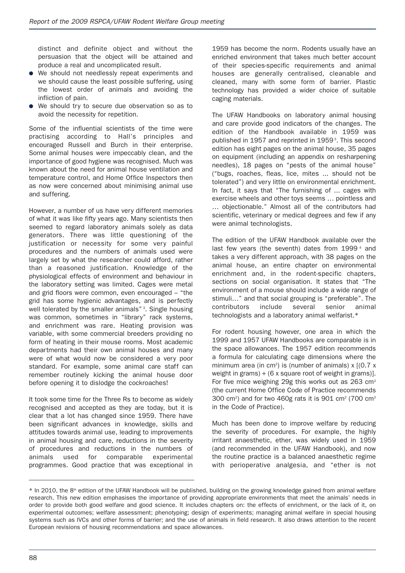distinct and definite object and without the persuasion that the object will be attained and produce a real and uncomplicated result.

- **●** We should not needlessly repeat experiments and we should cause the least possible suffering, using the lowest order of animals and avoiding the infliction of pain.
- **●** We should try to secure due observation so as to avoid the necessity for repetition.

Some of the influential scientists of the time were practising according to Hall's principles and encouraged Russell and Burch in their enterprise. Some animal houses were impeccably clean, and the importance of good hygiene was recognised. Much was known about the need for animal house ventilation and temperature control, and Home Office Inspectors then as now were concerned about minimising animal use and suffering.

However, a number of us have very different memories of what it was like fifty years ago. Many scientists then seemed to regard laboratory animals solely as data generators. There was little questioning of the justification or necessity for some very painful procedures and the numbers of animals used were largely set by what the researcher could afford, rather than a reasoned justification. Knowledge of the physiological effects of environment and behaviour in the laboratory setting was limited. Cages were metal and grid floors were common, even encouraged – "the grid has some hygienic advantages, and is perfectly well tolerated by the smaller animals"<sup>3</sup>. Single housing was common, sometimes in "library" rack systems, and enrichment was rare. Heating provision was variable, with some commercial breeders providing no form of heating in their mouse rooms. Most academic departments had their own animal houses and many were of what would now be considered a very poor standard. For example, some animal care staff can remember routinely kicking the animal house door before opening it to dislodge the cockroaches!

It took some time for the Three Rs to become as widely recognised and accepted as they are today, but it is clear that a lot has changed since 1959. There have been significant advances in knowledge, skills and attitudes towards animal use, leading to improvements in animal housing and care, reductions in the severity of procedures and reductions in the numbers of animals used for comparable experimental programmes. Good practice that was exceptional in

––––––––––––––––––––––––––––––––––––––––––––––––––––––

1959 has become the norm. Rodents usually have an enriched environment that takes much better account of their species-specific requirements and animal houses are generally centralised, cleanable and cleaned, many with some form of barrier. Plastic technology has provided a wider choice of suitable caging materials.

The UFAW Handbooks on laboratory animal housing and care provide good indicators of the changes. The edition of the Handbook available in 1959 was published in 1957 and reprinted in 1959<sup>3</sup>. This second edition has eight pages on the animal house, 35 pages on equipment (including an appendix on resharpening needles), 18 pages on "pests of the animal house" ("bugs, roaches, fleas, lice, mites ... should not be tolerated") and very little on environmental enrichment. In fact, it says that "The furnishing of ... cages with exercise wheels and other toys seems … pointless and … objectionable." Almost all of the contributors had scientific, veterinary or medical degrees and few if any were animal technologists.

The edition of the UFAW Handbook available over the last few years (the seventh) dates from 1999<sup>4</sup> and takes a very different approach, with 38 pages on the animal house, an entire chapter on environmental enrichment and, in the rodent-specific chapters, sections on social organisation. It states that "The environment of a mouse should include a wide range of stimuli…" and that social grouping is "preferable". The contributors include several senior animal technologists and a laboratory animal welfarist.\*

For rodent housing however, one area in which the 1999 and 1957 UFAW Handbooks are comparable is in the space allowances. The 1957 edition recommends a formula for calculating cage dimensions where the minimum area (in cm<sup>2</sup>) is (number of animals)  $x$   $(0.7 x)$ weight in grams) + (6 x square root of weight in grams)]. For five mice weighing 29g this works out as 263 cm2 (the current Home Office Code of Practice recommends 300 cm<sup>2</sup>) and for two 460g rats it is 901 cm<sup>2</sup> (700 cm<sup>2</sup>) in the Code of Practice).

Much has been done to improve welfare by reducing the severity of procedures. For example, the highly irritant anaesthetic, ether, was widely used in 1959 (and recommended in the UFAW Handbook), and now the routine practice is a balanced anaesthetic regime with perioperative analgesia, and "ether is not

<sup>\*</sup> In 2010, the 8<sup>th</sup> edition of the UFAW Handbook will be published, building on the growing knowledge gained from animal welfare research. This new edition emphasises the importance of providing appropriate environments that meet the animals' needs in order to provide both good welfare and good science. It includes chapters on: the effects of enrichment, or the lack of it, on experimental outcomes; welfare assessment; phenotyping; design of experiments; managing animal welfare in special housing systems such as IVCs and other forms of barrier; and the use of animals in field research. It also draws attention to the recent European revisions of housing recommendations and space allowances.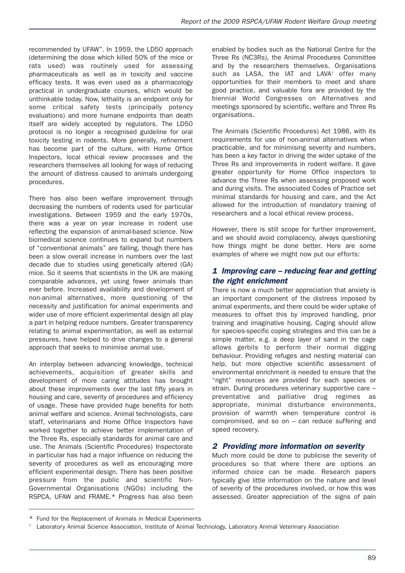recommended by UFAW". In 1959, the LD50 approach (determining the dose which killed 50% of the mice or rats used) was routinely used for assessing pharmaceuticals as well as in toxicity and vaccine efficacy tests. It was even used as a pharmacology practical in undergraduate courses, which would be unthinkable today. Now, lethality is an endpoint only for some critical safety tests (principally potency evaluations) and more humane endpoints than death itself are widely accepted by regulators. The LD50 protocol is no longer a recognised guideline for oral toxicity testing in rodents. More generally, refinement has become part of the culture, with Home Office Inspectors, local ethical review processes and the researchers themselves all looking for ways of reducing the amount of distress caused to animals undergoing procedures.

There has also been welfare improvement through decreasing the numbers of rodents used for particular investigations. Between 1959 and the early 1970s, there was a year on year increase in rodent use reflecting the expansion of animal-based science. Now biomedical science continues to expand but numbers of "conventional animals" are falling, though there has been a slow overall increase in numbers over the last decade due to studies using genetically altered (GA) mice. So it seems that scientists in the UK are making comparable advances, yet using fewer animals than ever before. Increased availability and development of non-animal alternatives, more questioning of the necessity and justification for animal experiments and wider use of more efficient experimental design all play a part in helping reduce numbers. Greater transparency relating to animal experimentation, as well as external pressures, have helped to drive changes to a general approach that seeks to minimise animal use.

An interplay between advancing knowledge, technical achievements, acquisition of greater skills and development of more caring attitudes has brought about these improvements over the last fifty years in housing and care, severity of procedures and efficiency of usage. These have provided huge benefits for both animal welfare and science. Animal technologists, care staff, veterinarians and Home Office Inspectors have worked together to achieve better implementation of the Three Rs, especially standards for animal care and use. The Animals (Scientific Procedures) Inspectorate in particular has had a major influence on reducing the severity of procedures as well as encouraging more efficient experimental design. There has been positive pressure from the public and scientific Non-Governmental Organisations (NGOs) including the RSPCA, UFAW and FRAME.\* Progress has also been enabled by bodies such as the National Centre for the Three Rs (NC3Rs), the Animal Procedures Committee and by the researchers themselves. Organisations such as LASA, the IAT and LAVA<sup>+</sup> offer many opportunities for their members to meet and share good practice, and valuable fora are provided by the biennial World Congresses on Alternatives and meetings sponsored by scientific, welfare and Three Rs organisations.

The Animals (Scientific Procedures) Act 1986, with its requirements for use of non-animal alternatives when practicable, and for minimising severity and numbers, has been a key factor in driving the wider uptake of the Three Rs and improvements in rodent welfare. It gave greater opportunity for Home Office inspectors to advance the Three Rs when assessing proposed work and during visits. The associated Codes of Practice set minimal standards for housing and care, and the Act allowed for the introduction of mandatory training of researchers and a local ethical review process.

However, there is still scope for further improvement, and we should avoid complacency, always questioning how things might be done better. Here are some examples of where we might now put our efforts:

#### *1 Improving care – reducing fear and getting the right enrichment*

There is now a much better appreciation that anxiety is an important component of the distress imposed by animal experiments, and there could be wider uptake of measures to offset this by improved handling, prior training and imaginative housing. Caging should allow for species-specific coping strategies and this can be a simple matter, e.g. a deep layer of sand in the cage allows gerbils to perform their normal digging behaviour. Providing refuges and nesting material can help, but more objective scientific assessment of environmental enrichment is needed to ensure that the "right" resources are provided for each species or strain. During procedures veterinary supportive care – preventative and palliative drug regimes as appropriate, minimal disturbance environments, provision of warmth when temperature control is compromised, and so on – can reduce suffering and speed recovery.

## *2 Providing more information on severity*

Much more could be done to publicise the severity of procedures so that where there are options an informed choice can be made. Research papers typically give little information on the nature and level of severity of the procedures involved, or how this was assessed. Greater appreciation of the signs of pain

––––––––––––––––––––––––––––––––––––––––––––––––––––––

<sup>\*</sup> Fund for the Replacement of Animals in Medical Experiments

<sup>†</sup> Laboratory Animal Science Association, Institute of Animal Technology, Laboratory Animal Veterinary Association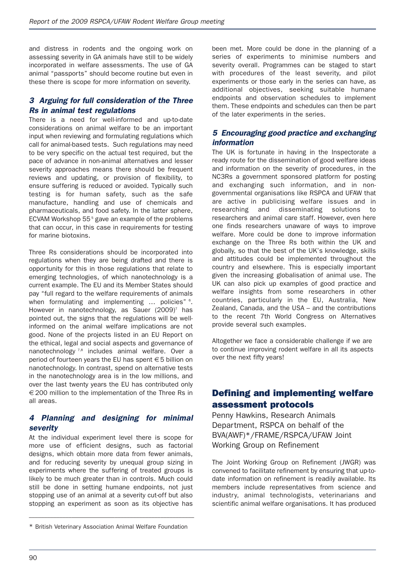and distress in rodents and the ongoing work on assessing severity in GA animals have still to be widely incorporated in welfare assessments. The use of GA animal "passports" should become routine but even in these there is scope for more information on severity.

#### *3 Arguing for full consideration of the Three Rs in animal test regulations*

There is a need for well-informed and up-to-date considerations on animal welfare to be an important input when reviewing and formulating regulations which call for animal-based tests. Such regulations may need to be very specific on the actual test required, but the pace of advance in non-animal alternatives and lesser severity approaches means there should be frequent reviews and updating, or provision of flexibility, to ensure suffering is reduced or avoided. Typically such testing is for human safety, such as the safe manufacture, handling and use of chemicals and pharmaceuticals, and food safety. In the latter sphere, ECVAM Workshop 55<sup>5</sup> gave an example of the problems that can occur, in this case in requirements for testing for marine biotoxins.

Three Rs considerations should be incorporated into regulations when they are being drafted and there is opportunity for this in those regulations that relate to emerging technologies, of which nanotechnology is a current example. The EU and its Member States should pay "full regard to the welfare requirements of animals when formulating and implementing ... policies" <sup>6</sup>. However in nanotechnology, as Sauer (2009)<sup>7</sup> has pointed out, the signs that the regulations will be wellinformed on the animal welfare implications are not good. None of the projects listed in an EU Report on the ethical, legal and social aspects and governance of nanotechnology<sup>7,8</sup> includes animal welfare. Over a period of fourteen years the EU has spent €5 billion on nanotechnology. In contrast, spend on alternative tests in the nanotechnology area is in the low millions, and over the last twenty years the EU has contributed only € 200 million to the implementation of the Three Rs in all areas.

#### *4 Planning and designing for minimal severity*

At the individual experiment level there is scope for more use of efficient designs, such as factorial designs, which obtain more data from fewer animals, and for reducing severity by unequal group sizing in experiments where the suffering of treated groups is likely to be much greater than in controls. Much could still be done in setting humane endpoints, not just stopping use of an animal at a severity cut-off but also stopping an experiment as soon as its objective has been met. More could be done in the planning of a series of experiments to minimise numbers and severity overall. Programmes can be staged to start with procedures of the least severity, and pilot experiments or those early in the series can have, as additional objectives, seeking suitable humane endpoints and observation schedules to implement them. These endpoints and schedules can then be part of the later experiments in the series.

#### *5 Encouraging good practice and exchanging information*

The UK is fortunate in having in the Inspectorate a ready route for the dissemination of good welfare ideas and information on the severity of procedures, in the NC3Rs a government sponsored platform for posting and exchanging such information, and in nongovernmental organisations like RSPCA and UFAW that are active in publicising welfare issues and in researching and disseminating solutions to researchers and animal care staff. However, even here one finds researchers unaware of ways to improve welfare. More could be done to improve information exchange on the Three Rs both within the UK and globally, so that the best of the UK's knowledge, skills and attitudes could be implemented throughout the country and elsewhere. This is especially important given the increasing globalisation of animal use. The UK can also pick up examples of good practice and welfare insights from some researchers in other countries, particularly in the EU, Australia, New Zealand, Canada, and the USA – and the contributions to the recent 7th World Congress on Alternatives provide several such examples.

Altogether we face a considerable challenge if we are to continue improving rodent welfare in all its aspects over the next fifty years!

## **Defining and implementing welfare assessment protocols**

Penny Hawkins, Research Animals Department, RSPCA on behalf of the BVA(AWF)\*/FRAME/RSPCA/UFAW Joint Working Group on Refinement

The Joint Working Group on Refinement (JWGR) was convened to facilitate refinement by ensuring that up-todate information on refinement is readily available. Its members include representatives from science and industry, animal technologists, veterinarians and scientific animal welfare organisations. It has produced

<sup>––––––––––––––––––––––––––––––––––––––––––––––––––––––</sup> \* British Veterinary Association Animal Welfare Foundation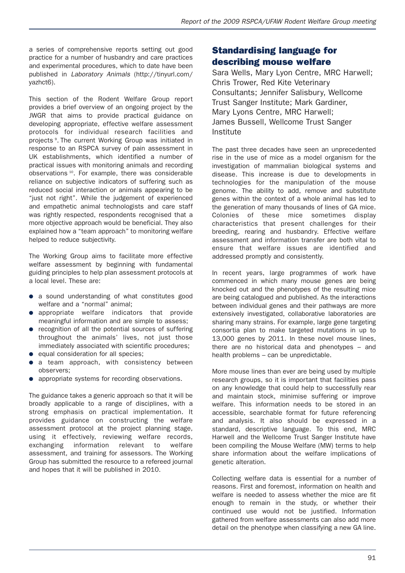a series of comprehensive reports setting out good practice for a number of husbandry and care practices and experimental procedures, which to date have been published in *Laboratory Animals* (http://tinyurl.com/ yazhct6).

This section of the Rodent Welfare Group report provides a brief overview of an ongoing project by the JWGR that aims to provide practical guidance on developing appropriate, effective welfare assessment protocols for individual research facilities and projects<sup>9</sup>. The current Working Group was initiated in response to an RSPCA survey of pain assessment in UK establishments, which identified a number of practical issues with monitoring animals and recording observations <sup>10</sup>. For example, there was considerable reliance on subjective indicators of suffering such as reduced social interaction or animals appearing to be "just not right". While the judgement of experienced and empathetic animal technologists and care staff was rightly respected, respondents recognised that a more objective approach would be beneficial. They also explained how a "team approach" to monitoring welfare helped to reduce subjectivity.

The Working Group aims to facilitate more effective welfare assessment by beginning with fundamental guiding principles to help plan assessment protocols at a local level. These are:

- **●** a sound understanding of what constitutes good welfare and a "normal" animal;
- **●** appropriate welfare indicators that provide meaningful information and are simple to assess;
- **●** recognition of all the potential sources of suffering throughout the animals' lives, not just those immediately associated with scientific procedures;
- **●** equal consideration for all species;
- **●** a team approach, with consistency between observers;
- **●** appropriate systems for recording observations.

The guidance takes a generic approach so that it will be broadly applicable to a range of disciplines, with a strong emphasis on practical implementation. It provides guidance on constructing the welfare assessment protocol at the project planning stage, using it effectively, reviewing welfare records, exchanging information relevant to welfare assessment, and training for assessors. The Working Group has submitted the resource to a refereed journal and hopes that it will be published in 2010.

## **Standardising language for describing mouse welfare**

Sara Wells, Mary Lyon Centre, MRC Harwell; Chris Trower, Red Kite Veterinary Consultants; Jennifer Salisbury, Wellcome Trust Sanger Institute; Mark Gardiner, Mary Lyons Centre, MRC Harwell; James Bussell, Wellcome Trust Sanger Institute

The past three decades have seen an unprecedented rise in the use of mice as a model organism for the investigation of mammalian biological systems and disease. This increase is due to developments in technologies for the manipulation of the mouse genome. The ability to add, remove and substitute genes within the context of a whole animal has led to the generation of many thousands of lines of GA mice. Colonies of these mice sometimes display characteristics that present challenges for their breeding, rearing and husbandry. Effective welfare assessment and information transfer are both vital to ensure that welfare issues are identified and addressed promptly and consistently.

In recent years, large programmes of work have commenced in which many mouse genes are being knocked out and the phenotypes of the resulting mice are being catalogued and published. As the interactions between individual genes and their pathways are more extensively investigated, collaborative laboratories are sharing many strains. For example, large gene targeting consortia plan to make targeted mutations in up to 13,000 genes by 2011. In these novel mouse lines, there are no historical data and phenotypes – and health problems – can be unpredictable.

More mouse lines than ever are being used by multiple research groups, so it is important that facilities pass on any knowledge that could help to successfully rear and maintain stock, minimise suffering or improve welfare. This information needs to be stored in an accessible, searchable format for future referencing and analysis. It also should be expressed in a standard, descriptive language. To this end, MRC Harwell and the Wellcome Trust Sanger Institute have been compiling the Mouse Welfare (MW) terms to help share information about the welfare implications of genetic alteration.

Collecting welfare data is essential for a number of reasons. First and foremost, information on health and welfare is needed to assess whether the mice are fit enough to remain in the study, or whether their continued use would not be justified. Information gathered from welfare assessments can also add more detail on the phenotype when classifying a new GA line.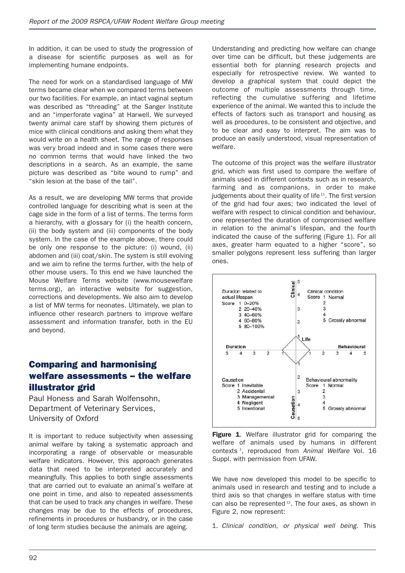In addition, it can be used to study the progression of a disease for scientific purposes as well as for implementing humane endpoints.

The need for work on a standardised language of MW terms became clear when we compared terms between our two facilities. For example, an intact vaginal septum was described as "threading" at the Sanger Institute and an "imperforate vagina" at Harwell. We surveyed twenty animal care staff by showing them pictures of mice with clinical conditions and asking them what they would write on a health sheet. The range of responses was very broad indeed and in some cases there were no common terms that would have linked the two descriptions in a search. As an example, the same picture was described as "bite wound to rump" and "skin lesion at the base of the tail".

As a result, we are developing MW terms that provide controlled language for describing what is seen at the cage side in the form of a list of terms. The terms form a hierarchy, with a glossary for (i) the health concern, (ii) the body system and (iii) components of the body system. In the case of the example above, there could be only one response to the picture: (i) wound, (ii) abdomen and (iii) coat/skin. The system is still evolving and we aim to refine the terms further, with the help of other mouse users. To this end we have launched the Mouse Welfare Terms website (www.mousewelfare terms.org), an interactive website for suggestion, corrections and developments. We also aim to develop a list of MW terms for neonates. Ultimately, we plan to influence other research partners to improve welfare assessment and information transfer, both in the EU and beyond.

# **Comparing and harmonising welfare assessments – the welfare illustrator grid**

Paul Honess and Sarah Wolfensohn, Department of Veterinary Services, University of Oxford

It is important to reduce subjectivity when assessing animal welfare by taking a systematic approach and incorporating a range of observable or measurable welfare indicators. However, this approach generates data that need to be interpreted accurately and meaningfully. This applies to both single assessments that are carried out to evaluate an animal's welfare at one point in time, and also to repeated assessments that can be used to track any changes in welfare. These changes may be due to the effects of procedures, refinements in procedures or husbandry, or in the case of long term studies because the animals are ageing.

Understanding and predicting how welfare can change over time can be difficult, but these judgements are essential both for planning research projects and especially for retrospective review. We wanted to develop a graphical system that could depict the outcome of multiple assessments through time, reflecting the cumulative suffering and lifetime experience of the animal. We wanted this to include the effects of factors such as transport and housing as well as procedures, to be consistent and objective, and to be clear and easy to interpret. The aim was to produce an easily understood, visual representation of welfare.

The outcome of this project was the welfare illustrator grid, which was first used to compare the welfare of animals used in different contexts such as in research, farming and as companions, in order to make iudgements about their quality of life<sup>11</sup>. The first version of the grid had four axes; two indicated the level of welfare with respect to clinical condition and behaviour, one represented the duration of compromised welfare in relation to the animal's lifespan, and the fourth indicated the cause of the suffering (Figure 1). For all axes, greater harm equated to a higher "score", so smaller polygons represent less suffering than larger ones.



**Figure 1**. Welfare illustrator grid for comparing the welfare of animals used by humans in different contexts <sup>1</sup> , reproduced from *Animal Welfare* Vol. 16 Suppl. with permission from UFAW.

We have now developed this model to be specific to animals used in research and testing and to include a third axis so that changes in welfare status with time can also be represented  $12$ . The four axes, as shown in Figure 2, now represent:

1. *Clinical condition, or physical well being.* This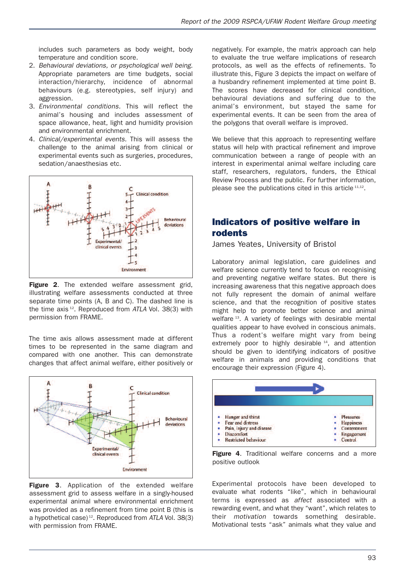includes such parameters as body weight, body temperature and condition score.

- 2. *Behavioural deviations, or psychological well being.* Appropriate parameters are time budgets, social interaction/hierarchy, incidence of abnormal behaviours (e.g. stereotypies, self injury) and aggression.
- 3. *Environmental conditions.* This will reflect the animal's housing and includes assessment of space allowance, heat, light and humidity provision and environmental enrichment.
- 4. *Clinical/experimental events.* This will assess the challenge to the animal arising from clinical or experimental events such as surgeries, procedures, sedation/anaesthesias etc.



**Figure 2**. The extended welfare assessment grid, illustrating welfare assessments conducted at three separate time points (A, B and C). The dashed line is the time axis <sup>12</sup> . Reproduced from *ATLA* Vol. 38(3) with permission from FRAME.

The time axis allows assessment made at different times to be represented in the same diagram and compared with one another. This can demonstrate changes that affect animal welfare, either positively or



**Figure 3**. Application of the extended welfare assessment grid to assess welfare in a singly-housed experimental animal where environmental enrichment was provided as a refinement from time point B (this is a hypothetical case) <sup>12</sup> . Reproduced from *ATLA* Vol. 38(3) with permission from FRAME.

negatively. For example, the matrix approach can help to evaluate the true welfare implications of research protocols, as well as the effects of refinements. To illustrate this, Figure 3 depicts the impact on welfare of a husbandry refinement implemented at time point B. The scores have decreased for clinical condition, behavioural deviations and suffering due to the animal's environment, but stayed the same for experimental events. It can be seen from the area of the polygons that overall welfare is improved.

We believe that this approach to representing welfare status will help with practical refinement and improve communication between a range of people with an interest in experimental animal welfare including care staff, researchers, regulators, funders, the Ethical Review Process and the public. For further information, please see the publications cited in this article  $11,12$ .

# **Indicators of positive welfare in rodents**

James Yeates, University of Bristol

Laboratory animal legislation, care guidelines and welfare science currently tend to focus on recognising and preventing negative welfare states. But there is increasing awareness that this negative approach does not fully represent the domain of animal welfare science, and that the recognition of positive states might help to promote better science and animal welfare <sup>13</sup>. A variety of feelings with desirable mental qualities appear to have evolved in conscious animals. Thus a rodent's welfare might vary from being extremely poor to highly desirable <sup>14</sup>, and attention should be given to identifying indicators of positive welfare in animals and providing conditions that encourage their expression (Figure 4).



**Figure 4**. Traditional welfare concerns and a more positive outlook

Experimental protocols have been developed to evaluate what rodents "like", which in behavioural terms is expressed as *affect* associated with a rewarding event, and what they "want", which relates to their *motivation* towards something desirable. Motivational tests "ask" animals what they value and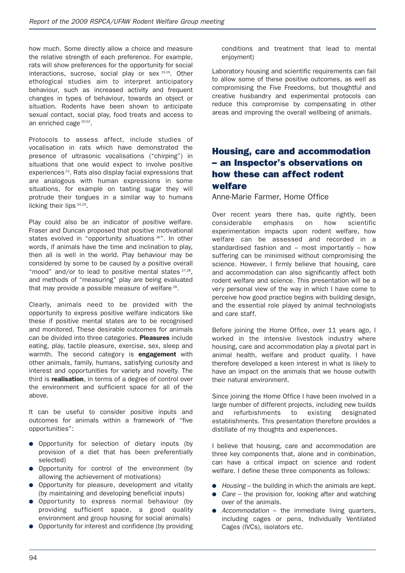how much. Some directly allow a choice and measure the relative strength of each preference. For example, rats will show preferences for the opportunity for social interactions, sucrose, social play or sex <sup>15-19</sup>, Other ethological studies aim to interpret anticipatory behaviour, such as increased activity and frequent changes in types of behaviour, towards an object or situation. Rodents have been shown to anticipate sexual contact, social play, food treats and access to an enriched cage <sup>20-22</sup>.

Protocols to assess affect, include studies of vocalisation in rats which have demonstrated the presence of ultrasonic vocalisations ("chirping") in situations that one would expect to involve positive experiences<sup>23</sup>. Rats also display facial expressions that are analogous with human expressions in some situations, for example on tasting sugar they will protrude their tongues in a similar way to humans licking their lips 24,25.

Play could also be an indicator of positive welfare. Fraser and Duncan proposed that positive motivational states evolved in "opportunity situations <sup>26"</sup>. In other words, if animals have the time and inclination to play, then all is well in the world. Play behaviour may be considered by some to be caused by a positive overall "mood" and/or to lead to positive mental states <sup>27,28</sup>. and methods of "measuring" play are being evaluated that may provide a possible measure of welfare  $28$ .

Clearly, animals need to be provided with the opportunity to express positive welfare indicators like these if positive mental states are to be recognised and monitored. These desirable outcomes for animals can be divided into three categories. **Pleasures** include eating, play, tactile pleasure, exercise, sex, sleep and warmth. The second category is **engagement** with other animals, family, humans, satisfying curiosity and interest and opportunities for variety and novelty. The third is **realisation**, in terms of a degree of control over the environment and sufficient space for all of the above.

It can be useful to consider positive inputs and outcomes for animals within a framework of "five opportunities":

- **●** Opportunity for selection of dietary inputs (by provision of a diet that has been preferentially selected)
- **●** Opportunity for control of the environment (by allowing the achievement of motivations)
- **●** Opportunity for pleasure, development and vitality (by maintaining and developing beneficial inputs)
- **●** Opportunity to express normal behaviour (by providing sufficient space, a good quality environment and group housing for social animals)
- **●** Opportunity for interest and confidence (by providing

conditions and treatment that lead to mental enjoyment)

Laboratory housing and scientific requirements can fail to allow some of these positive outcomes, as well as compromising the Five Freedoms, but thoughtful and creative husbandry and experimental protocols can reduce this compromise by compensating in other areas and improving the overall wellbeing of animals.

# **Housing, care and accommodation – an Inspector's observations on how these can affect rodent welfare**

Anne-Marie Farmer, Home Office

Over recent years there has, quite rightly, been considerable emphasis on how scientific experimentation impacts upon rodent welfare, how welfare can be assessed and recorded in a standardised fashion and – most importantly – how suffering can be minimised without compromising the science. However, I firmly believe that housing, care and accommodation can also significantly affect both rodent welfare and science. This presentation will be a very personal view of the way in which I have come to perceive how good practice begins with building design, and the essential role played by animal technologists and care staff.

Before joining the Home Office, over 11 years ago, I worked in the intensive livestock industry where housing, care and accommodation play a pivotal part in animal health, welfare and product quality. I have therefore developed a keen interest in what is likely to have an impact on the animals that we house outwith their natural environment.

Since joining the Home Office I have been involved in a large number of different projects, including new builds and refurbishments to existing designated establishments. This presentation therefore provides a distillate of my thoughts and experiences.

I believe that housing, care and accommodation are three key components that, alone and in combination, can have a critical impact on science and rodent welfare. I define these three components as follows:

- **●** *Housing* the building in which the animals are kept.
- **●** *Care* the provision for, looking after and watching over of the animals.
- **●** *Accommodation* the immediate living quarters, including cages or pens, Individually Ventilated Cages (IVCs), isolators etc.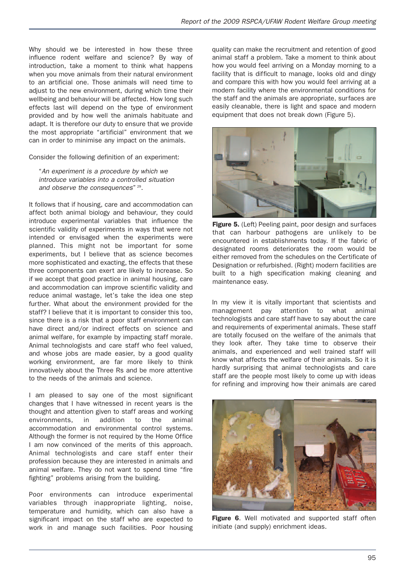Why should we be interested in how these three influence rodent welfare and science? By way of introduction, take a moment to think what happens when you move animals from their natural environment to an artificial one. Those animals will need time to adjust to the new environment, during which time their wellbeing and behaviour will be affected. How long such effects last will depend on the type of environment provided and by how well the animals habituate and adapt. It is therefore our duty to ensure that we provide the most appropriate "artificial" environment that we can in order to minimise any impact on the animals.

Consider the following definition of an experiment:

"*An experiment is a procedure by which we introduce variables into a controlled situation and observe the consequences*" <sup>29</sup> .

It follows that if housing, care and accommodation can affect both animal biology and behaviour, they could introduce experimental variables that influence the scientific validity of experiments in ways that were not intended or envisaged when the experiments were planned. This might not be important for some experiments, but I believe that as science becomes more sophisticated and exacting, the effects that these three components can exert are likely to increase. So if we accept that good practice in animal housing, care and accommodation can improve scientific validity and reduce animal wastage, let's take the idea one step further. What about the environment provided for the staff? I believe that it is important to consider this too, since there is a risk that a poor staff environment can have direct and/or indirect effects on science and animal welfare, for example by impacting staff morale. Animal technologists and care staff who feel valued, and whose jobs are made easier, by a good quality working environment, are far more likely to think innovatively about the Three Rs and be more attentive to the needs of the animals and science.

I am pleased to say one of the most significant changes that I have witnessed in recent years is the thought and attention given to staff areas and working environments, in addition to the animal accommodation and environmental control systems. Although the former is not required by the Home Office I am now convinced of the merits of this approach. Animal technologists and care staff enter their profession because they are interested in animals and animal welfare. They do not want to spend time "fire fighting" problems arising from the building.

Poor environments can introduce experimental variables through inappropriate lighting, noise, temperature and humidity, which can also have a significant impact on the staff who are expected to work in and manage such facilities. Poor housing quality can make the recruitment and retention of good animal staff a problem. Take a moment to think about how you would feel arriving on a Monday morning to a facility that is difficult to manage, looks old and dingy and compare this with how you would feel arriving at a modern facility where the environmental conditions for the staff and the animals are appropriate, surfaces are easily cleanable, there is light and space and modern equipment that does not break down (Figure 5).



**Figure 5.** (Left) Peeling paint, poor design and surfaces that can harbour pathogens are unlikely to be encountered in establishments today. If the fabric of designated rooms deteriorates the room would be either removed from the schedules on the Certificate of Designation or refurbished. (Right) modern facilities are built to a high specification making cleaning and maintenance easy.

In my view it is vitally important that scientists and management pay attention to what animal technologists and care staff have to say about the care and requirements of experimental animals. These staff are totally focused on the welfare of the animals that they look after. They take time to observe their animals, and experienced and well trained staff will know what affects the welfare of their animals. So it is hardly surprising that animal technologists and care staff are the people most likely to come up with ideas for refining and improving how their animals are cared



**Figure 6**. Well motivated and supported staff often initiate (and supply) enrichment ideas.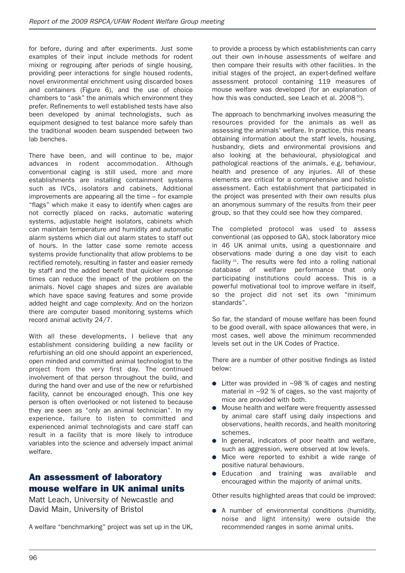for before, during and after experiments. Just some examples of their input include methods for rodent mixing or regrouping after periods of single housing, providing peer interactions for single housed rodents, novel environmental enrichment using discarded boxes and containers (Figure 6), and the use of choice chambers to "ask" the animals which environment they prefer. Refinements to well established tests have also been developed by animal technologists, such as equipment designed to test balance more safely than the traditional wooden beam suspended between two lab benches.

There have been, and will continue to be, major advances in rodent accommodation. Although conventional caging is still used, more and more establishments are installing containment systems such as IVCs, isolators and cabinets. Additional improvements are appearing all the time – for example "flags" which make it easy to identify when cages are not correctly placed on racks, automatic watering systems, adjustable height isolators, cabinets which can maintain temperature and humidity and automatic alarm systems which dial out alarm states to staff out of hours. In the latter case some remote access systems provide functionality that allow problems to be rectified remotely, resulting in faster and easier remedy by staff and the added benefit that quicker response times can reduce the impact of the problem on the animals. Novel cage shapes and sizes are available which have space saving features and some provide added height and cage complexity. And on the horizon there are computer based monitoring systems which record animal activity 24/7.

With all these developments, I believe that any establishment considering building a new facility or refurbishing an old one should appoint an experienced, open minded and committed animal technologist to the project from the very first day. The continued involvement of that person throughout the build, and during the hand over and use of the new or refurbished facility, cannot be encouraged enough. This one key person is often overlooked or not listened to because they are seen as "only an animal technician". In my experience, failure to listen to committed and experienced animal technologists and care staff can result in a facility that is more likely to introduce variables into the science and adversely impact animal welfare.

# **An assessment of laboratory mouse welfare in UK animal units**

Matt Leach, University of Newcastle and David Main, University of Bristol

A welfare "benchmarking" project was set up in the UK,

to provide a process by which establishments can carry out their own in-house assessments of welfare and then compare their results with other facilities. In the initial stages of the project, an expert-defined welfare assessment protocol containing 119 measures of mouse welfare was developed (for an explanation of how this was conducted, see Leach et al.  $2008^{30}$ ).

The approach to benchmarking involves measuring the resources provided for the animals as well as assessing the animals' welfare. In practice, this means obtaining information about the staff levels, housing, husbandry, diets and environmental provisions and also looking at the behavioural, physiological and pathological reactions of the animals, e.g. behaviour, health and presence of any injuries. All of these elements are critical for a comprehensive and holistic assessment. Each establishment that participated in the project was presented with their own results plus an anonymous summary of the results from their peer group, so that they could see how they compared.

The completed protocol was used to assess conventional (as opposed to GA), stock laboratory mice in 46 UK animal units, using a questionnaire and observations made during a one day visit to each facility<sup>31</sup>. The results were fed into a rolling national database of welfare performance that only participating institutions could access. This is a powerful motivational tool to improve welfare in itself, so the project did not set its own "minimum standards".

So far, the standard of mouse welfare has been found to be good overall, with space allowances that were, in most cases, well above the minimum recommended levels set out in the UK Codes of Practice.

There are a number of other positive findings as listed below:

- **●** Litter was provided in ~98 % of cages and nesting material in ~92 % of cages, so the vast majority of mice are provided with both.
- **●** Mouse health and welfare were frequently assessed by animal care staff using daily inspections and observations, health records, and health monitoring schemes.
- **●** In general, indicators of poor health and welfare, such as aggression, were observed at low levels.
- **●** Mice were reported to exhibit a wide range of positive natural behaviours.
- **●** Education and training was available and encouraged within the majority of animal units.

Other results highlighted areas that could be improved:

**●** A number of environmental conditions (humidity, noise and light intensity) were outside the recommended ranges in some animal units.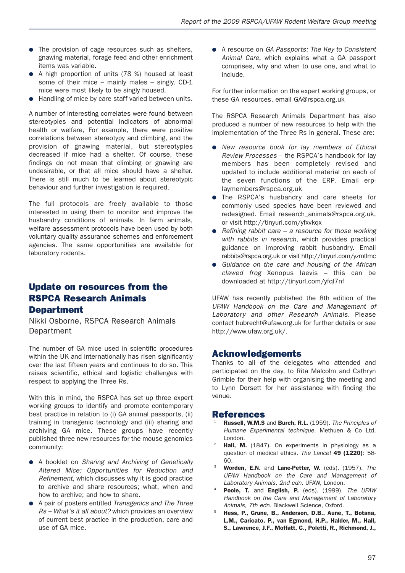- **●** The provision of cage resources such as shelters, gnawing material, forage feed and other enrichment items was variable.
- **●** A high proportion of units (78 %) housed at least some of their mice – mainly males – singly. CD-1 mice were most likely to be singly housed.
- **●** Handling of mice by care staff varied between units.

A number of interesting correlates were found between stereotypies and potential indicators of abnormal health or welfare, For example, there were positive correlations between stereotypy and climbing, and the provision of gnawing material, but stereotypies decreased if mice had a shelter. Of course, these findings do not mean that climbing or gnawing are undesirable, or that all mice should have a shelter. There is still much to be learned about stereotypic behaviour and further investigation is required.

The full protocols are freely available to those interested in using them to monitor and improve the husbandry conditions of animals. In farm animals, welfare assessment protocols have been used by both voluntary quality assurance schemes and enforcement agencies. The same opportunities are available for laboratory rodents.

## **Update on resources from the RSPCA Research Animals Department**

Nikki Osborne, RSPCA Research Animals Department

The number of GA mice used in scientific procedures within the UK and internationally has risen significantly over the last fifteen years and continues to do so. This raises scientific, ethical and logistic challenges with respect to applying the Three Rs.

With this in mind, the RSPCA has set up three expert working groups to identify and promote contemporary best practice in relation to (i) GA animal passports, (ii) training in transgenic technology and (iii) sharing and archiving GA mice. These groups have recently published three new resources for the mouse genomics community:

- **●** A booklet on *Sharing and Archiving of Genetically Altered Mice: Opportunities for Reduction and Refinement*, which discusses why it is good practice to archive and share resources; what, when and how to archive; and how to share.
- **●** A pair of posters entitled *Transgenics and The Three Rs – What's it all about?* which provides an overview of current best practice in the production, care and use of GA mice.

**●** A resource on *GA Passports: The Key to Consistent Animal Care*, which explains what a GA passport comprises, why and when to use one, and what to include.

For further information on the expert working groups, or these GA resources, email GA@rspca.org.uk

The RSPCA Research Animals Department has also produced a number of new resources to help with the implementation of the Three Rs in general. These are:

- **●** *New resource book for lay members of Ethical Review Processes* – the RSPCA's handbook for lay members has been completely revised and updated to include additional material on each of the seven functions of the ERP. Email erplaymembers@rspca.org.uk
- **•** The RSPCA's husbandry and care sheets for commonly used species have been reviewed and redesigned. Email research\_animals@rspca.org.uk, or visit http://tinyurl.com/yfxvkqx
- **●** *Refining rabbit care – a resource for those working with rabbits in research*, which provides practical guidance on improving rabbit husbandry. Email rabbits@rspca.org.uk or visit http://tinyurl.com/yzmtlmc
- **●** *Guidance on the care and housing of the African clawed frog* Xenopus laevis – this can be downloaded at http://tinyurl.com/yfql7nf

UFAW has recently published the 8th edition of the *UFAW Handbook on the Care and Management of Laborator y and other Research Animals*. Please contact hubrecht@ufaw.org.uk for further details or see http://www.ufaw.org.uk/.

## **Acknowledgements**

Thanks to all of the delegates who attended and participated on the day, to Rita Malcolm and Cathryn Grimble for their help with organising the meeting and to Lynn Dorsett for her assistance with finding the venue.

#### **References**

- <sup>21</sup> **Russell, W.M.S** and **Burch, R.L.** (1959). *The Principles of Humane Experimental technique.* Methuen & Co Ltd, London.
- <sup>22</sup> **Hall, M.** (1847). On experiments in physiology as a question of medical ethics. *The Lancet* **49 (1220)**: 58- 60.
- <sup>23</sup> **Worden, E.N.** and **Lane-Petter, W.** (eds). (1957). *The UFAW Handbook on the Care and Management of Laboratory Animals, 2nd edn.* UFAW, London.
- <sup>24</sup> **Poole, T.** and **English, P.** (eds). (1999). *The UFAW Handbook on the Care and Management of Laboratory Animals, 7th edn.* Blackwell Science, Oxford.
- <sup>25</sup> **Hess, P., Grune, B., Anderson, D.B., Aune, T., Botana, L.M., Caricato, P., van Egmond, H.P., Halder, M., Hall, S., Lawrence, J.F., Moffatt, C., Poletti, R., Richmond, J.,**